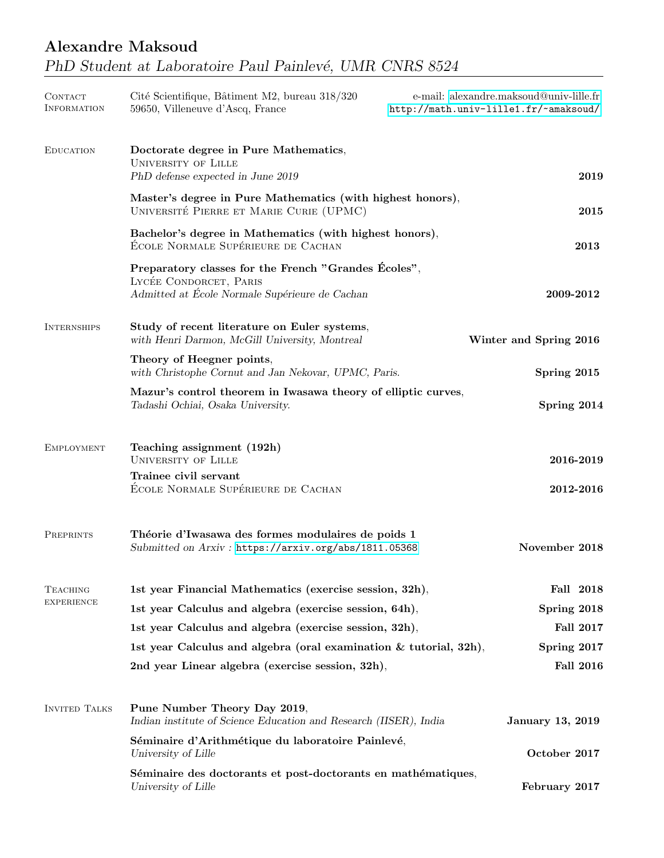| <b>CONTACT</b><br><b>INFORMATION</b> | Cité Scientifique, Bâtiment M2, bureau 318/320<br>59650, Villeneuve d'Ascq, France                                               | e-mail: alexandre.maksoud@univ-lille.fr<br>http://math.univ-lille1.fr/~amaksoud/ |                         |
|--------------------------------------|----------------------------------------------------------------------------------------------------------------------------------|----------------------------------------------------------------------------------|-------------------------|
| <b>EDUCATION</b>                     | Doctorate degree in Pure Mathematics,<br><b>UNIVERSITY OF LILLE</b><br>PhD defense expected in June 2019                         |                                                                                  | 2019                    |
|                                      | Master's degree in Pure Mathematics (with highest honors),<br>UNIVERSITÉ PIERRE ET MARIE CURIE (UPMC)                            |                                                                                  | 2015                    |
|                                      | Bachelor's degree in Mathematics (with highest honors),<br>ÉCOLE NORMALE SUPÉRIEURE DE CACHAN                                    |                                                                                  | 2013                    |
|                                      | Preparatory classes for the French "Grandes Ecoles",<br>LYCÉE CONDORCET, PARIS<br>Admitted at École Normale Supérieure de Cachan |                                                                                  | 2009-2012               |
| <b>INTERNSHIPS</b>                   | Study of recent literature on Euler systems,<br>with Henri Darmon, McGill University, Montreal                                   |                                                                                  | Winter and Spring 2016  |
|                                      | Theory of Heegner points,<br>with Christophe Cornut and Jan Nekovar, UPMC, Paris.                                                |                                                                                  | Spring 2015             |
|                                      | Mazur's control theorem in Iwasawa theory of elliptic curves,<br>Tadashi Ochiai, Osaka University.                               |                                                                                  | Spring 2014             |
| <b>EMPLOYMENT</b>                    | Teaching assignment (192h)<br><b>UNIVERSITY OF LILLE</b>                                                                         |                                                                                  | 2016-2019               |
|                                      | Trainee civil servant<br>ÉCOLE NORMALE SUPÉRIEURE DE CACHAN                                                                      |                                                                                  | 2012-2016               |
| <b>PREPRINTS</b>                     | Théorie d'Iwasawa des formes modulaires de poids 1<br>Submitted on Arxiv: https://arxiv.org/abs/1811.05368                       |                                                                                  | November 2018           |
| <b>TEACHING</b><br><b>EXPERIENCE</b> | 1st year Financial Mathematics (exercise session, 32h),                                                                          |                                                                                  | Fall 2018               |
|                                      | 1st year Calculus and algebra (exercise session, 64h),                                                                           |                                                                                  | Spring 2018             |
|                                      | 1st year Calculus and algebra (exercise session, 32h),                                                                           |                                                                                  | <b>Fall 2017</b>        |
|                                      | 1st year Calculus and algebra (oral examination $&$ tutorial, 32h),                                                              |                                                                                  | Spring 2017             |
|                                      | 2nd year Linear algebra (exercise session, 32h),                                                                                 |                                                                                  | <b>Fall 2016</b>        |
| <b>INVITED TALKS</b>                 | Pune Number Theory Day 2019,<br>Indian institute of Science Education and Research (IISER), India                                |                                                                                  | <b>January 13, 2019</b> |
|                                      | Séminaire d'Arithmétique du laboratoire Painlevé,<br>University of Lille                                                         |                                                                                  | October 2017            |
|                                      | Séminaire des doctorants et post-doctorants en mathématiques,<br>University of Lille                                             |                                                                                  | February 2017           |